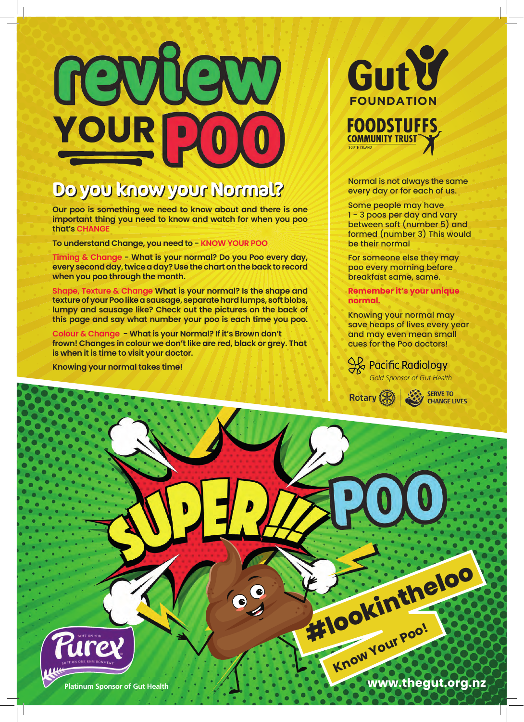

## Do you know your Normal?

**Our poo is something we need to know about and there is one important thing you need to know and watch for when you poo that's CHANGE**

**To understand Change, you need to - KNOW YOUR POO**

**Timing & Change - What is your normal? Do you Poo every day, every second day, twice a day? Use the chart on the back to record when you poo through the month.**

**Shape, Texture & Change What is your normal? Is the shape and texture of your Poo like a sausage, separate hard lumps, soft blobs, lumpy and sausage like? Check out the pictures on the back of this page and say what number your poo is each time you poo.**

**Colour & Change - What is your Normal? If it's Brown don't frown! Changes in colour we don't like are red, black or grey. That is when it is time to visit your doctor.**

**Knowing your normal takes time!**



Normal is not always the same every day or for each of us.

Some people may have 1 - 3 poos per day and vary between soft (number 5) and formed (number 3) This would be their normal

For someone else they may poo every morning before breakfast same, same.

**Remember it's your unique normal.**

Knowing your normal may save heaps of lives every year and may even mean small cues for the Poo doctors!

**Gold Sponsor of Gut Health** 



Rotary (A) SERVE TO